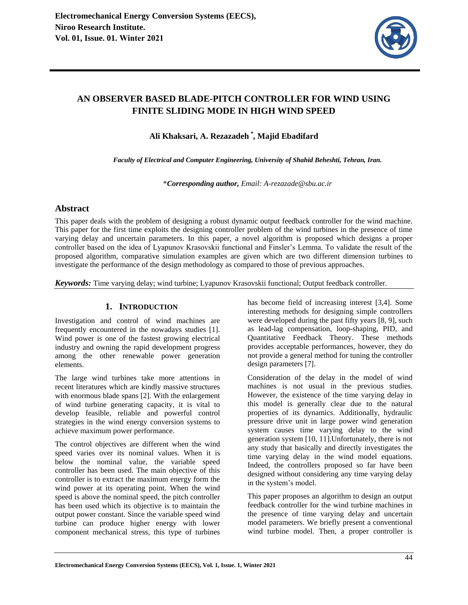

# **AN OBSERVER BASED BLADE-PITCH CONTROLLER FOR WIND USING FINITE SLIDING MODE IN HIGH WIND SPEED**

**Ali Khaksari, A. Rezazadeh** *\** **, Majid Ebadifard** 

*Faculty of Electrical and Computer Engineering, University of Shahid Beheshti, Tehran, Iran.* 

\**Corresponding author, Email: A-rezazade@sbu.ac.ir*

# **Abstract**

This paper deals with the problem of designing a robust dynamic output feedback controller for the wind machine. This paper for the first time exploits the designing controller problem of the wind turbines in the presence of time varying delay and uncertain parameters. In this paper, a novel algorithm is proposed which designs a proper controller based on the idea of Lyapunov Krasovskii functional and Finsler's Lemma. To validate the result of the proposed algorithm, comparative simulation examples are given which are two different dimension turbines to investigate the performance of the design methodology as compared to those of previous approaches.

*Keywords:* Time varying delay; wind turbine; Lyapunov Krasovskii functional; Output feedback controller.

# **1. INTRODUCTION**

Investigation and control of wind machines are frequently encountered in the nowadays studies [1]. Wind power is one of the fastest growing electrical industry and owning the rapid development progress among the other renewable power generation elements.

The large wind turbines take more attentions in recent literatures which are kindly massive structures with enormous blade spans [2]. With the enlargement of wind turbine generating capacity, it is vital to develop feasible, reliable and powerful control strategies in the wind energy conversion systems to achieve maximum power performance.

The control objectives are different when the wind speed varies over its nominal values. When it is below the nominal value, the variable speed controller has been used. The main objective of this controller is to extract the maximum energy form the wind power at its operating point. When the wind speed is above the nominal speed, the pitch controller has been used which its objective is to maintain the output power constant. Since the variable speed wind turbine can produce higher energy with lower component mechanical stress, this type of turbines

has become field of increasing interest [3,4]. Some interesting methods for designing simple controllers were developed during the past fifty years [8, 9], such as lead-lag compensation, loop-shaping, PID, and Quantitative Feedback Theory. These methods provides acceptable performances, however, they do not provide a general method for tuning the controller design parameters [7].

Consideration of the delay in the model of wind machines is not usual in the previous studies. However, the existence of the time varying delay in this model is generally clear due to the natural properties of its dynamics. Additionally, hydraulic pressure drive unit in large power wind generation system causes time varying delay to the wind generation system [10, 11].Unfortunately, there is not any study that basically and directly investigates the time varying delay in the wind model equations. Indeed, the controllers proposed so far have been designed without considering any time varying delay in the system's model.

This paper proposes an algorithm to design an output feedback controller for the wind turbine machines in the presence of time varying delay and uncertain model parameters. We briefly present a conventional wind turbine model. Then, a proper controller is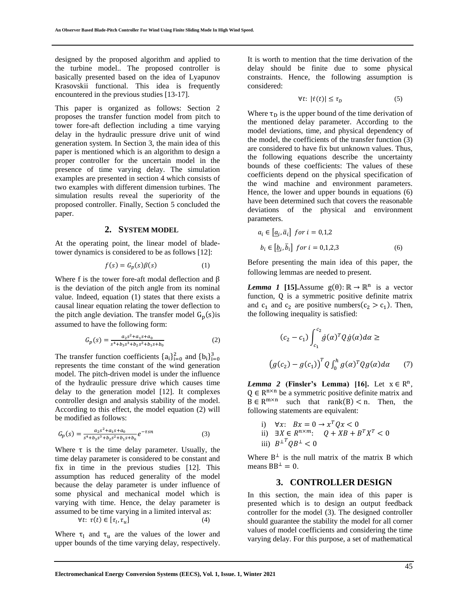designed by the proposed algorithm and applied to the turbine model.. The proposed controller is basically presented based on the idea of Lyapunov Krasovskii functional. This idea is frequently encountered in the previous studies [13-17].

This paper is organized as follows: Section 2 proposes the transfer function model from pitch to tower fore-aft deflection including a time varying delay in the hydraulic pressure drive unit of wind generation system. In Section 3, the main idea of this paper is mentioned which is an algorithm to design a proper controller for the uncertain model in the presence of time varying delay. The simulation examples are presented in section 4 which consists of two examples with different dimension turbines. The simulation results reveal the superiority of the proposed controller. Finally, Section 5 concluded the paper.

#### **2. SYSTEM MODEL**

At the operating point, the linear model of bladetower dynamics is considered to be as follows [12]:

$$
f(s) = G_p(s)\beta(s) \tag{1}
$$

Where f is the tower fore-aft modal deflection and  $\beta$ is the deviation of the pitch angle from its nominal value. Indeed, equation (1) states that there exists a causal linear equation relating the tower deflection to the pitch angle deviation. The transfer model  $G_p(s)$  is assumed to have the following form:

$$
G_p(s) = \frac{a_2 s^2 + a_1 s + a_0}{s^4 + b_3 s^3 + b_2 s^2 + b_1 s + b_0}
$$
 (2)

The transfer function coefficients  $\{a_i\}_{i=0}^2$  and  $\{b_i\}_{i=0}^3$ represents the time constant of the wind generation model. The pitch-driven model is under the influence of the hydraulic pressure drive which causes time delay to the generation model [12]. It complexes controller design and analysis stability of the model. According to this effect, the model equation (2) will be modified as follows:

$$
G_p(s) = \frac{a_2 s^2 + a_1 s + a_0}{s^4 + b_3 s^3 + b_2 s^2 + b_1 s + b_0} e^{-\tau s n}
$$
\n(3)

Where  $\tau$  is the time delay parameter. Usually, the time delay parameter is considered to be constant and fix in time in the previous studies [12]. This assumption has reduced generality of the model because the delay parameter is under influence of some physical and mechanical model which is varying with time. Hence, the delay parameter is assumed to be time varying in a limited interval as:  $\forall t$ :  $\tau(t) \in [\tau_l, \tau_u]$  $\left| \right|$  (4)

Where  $\tau_1$  and  $\tau_u$  are the values of the lower and upper bounds of the time varying delay, respectively. It is worth to mention that the time derivation of the delay should be finite due to some physical constraints. Hence, the following assumption is considered:

$$
\forall t: |\dot{\tau}(t)| \le \tau_D \tag{5}
$$

Where  $\tau_D$  is the upper bound of the time derivation of the mentioned delay parameter. According to the model deviations, time, and physical dependency of the model, the coefficients of the transfer function (3) are considered to have fix but unknown values. Thus, the following equations describe the uncertainty bounds of these coefficients: The values of these coefficients depend on the physical specification of the wind machine and environment parameters. Hence, the lower and upper bounds in equations (6) have been determined such that covers the reasonable deviations of the physical and environment parameters.

$$
a_i \in \left[\underline{a}_i, \overline{a}_i\right] \text{ for } i = 0, 1, 2
$$
\n
$$
b_i \in \left[\underline{b}_i, \overline{b}_i\right] \text{ for } i = 0, 1, 2, 3 \tag{6}
$$

Before presenting the main idea of this paper, the following lemmas are needed to present.

*Lemma 1* [15].Assume  $g(θ)$ : ℝ → ℝ<sup>n</sup> is a vector function, Q is a symmetric positive definite matrix and  $c_1$  and  $c_2$  are positive numbers( $c_2 > c_1$ ). Then, the following inequality is satisfied:

$$
(c_2 - c_1) \int_{c_1}^{c_2} \dot{g}(\alpha)^T Q \dot{g}(\alpha) d\alpha \ge
$$
  

$$
(g(c_2) - g(c_1))^T Q \int_0^h g(\alpha)^T Q g(\alpha) d\alpha \qquad (7)
$$

*Lemma* 2 (Finsler's Lemma) [16]. Let  $x \in \mathbb{R}^n$ ,  $Q \in \mathbb{R}^{n \times n}$  be a symmetric positive definite matrix and  $B \in R^{m \times n}$  such that rank(B) < n. Then, the following statements are equivalent:

i)  $\forall x: Bx = 0 \rightarrow x^T Q x < 0$ ii) ∃ $X \in R^{n \times m}$ :  $Q + XB + B^T X^T < 0$ iii)  $B^{\perp T} Q B^{\perp} < 0$ 

Where  $B^{\perp}$  is the null matrix of the matrix B which means  $BB^{\perp} = 0$ .

## **3. CONTROLLER DESIGN**

In this section, the main idea of this paper is presented which is to design an output feedback controller for the model (3). The designed controller should guarantee the stability the model for all corner values of model coefficients and considering the time varying delay. For this purpose, a set of mathematical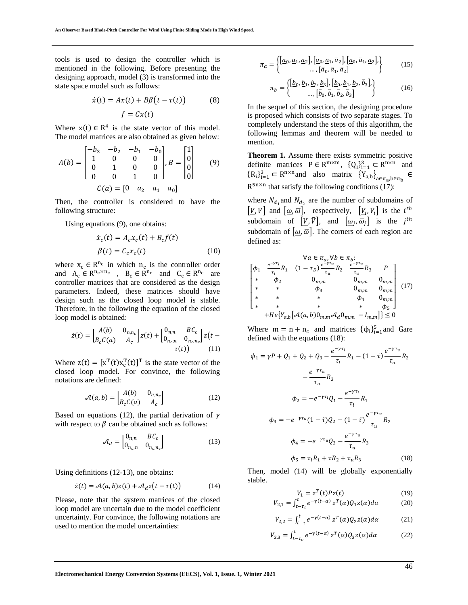tools is used to design the controller which is mentioned in the following. Before presenting the designing approach, model (3) is transformed into the state space model such as follows:

$$
\dot{x}(t) = Ax(t) + B\beta(t - \tau(t))\tag{8}
$$

$$
f = Cx(t)
$$

Where  $x(t) \in R^4$  is the state vector of this model. The model matrices are also obtained as given below:

$$
A(b) = \begin{bmatrix} -b_3 & -b_2 & -b_1 & -b_0 \ 1 & 0 & 0 & 0 \ 0 & 1 & 0 & 0 \ 0 & 0 & 1 & 0 \end{bmatrix}, B = \begin{bmatrix} 1 \\ 0 \\ 0 \\ 0 \end{bmatrix}
$$
(9)  

$$
C(a) = \begin{bmatrix} 0 & a_2 & a_1 & a_0 \end{bmatrix}
$$

Then, the controller is considered to have the following structure:

Using equations (9), one obtains:

$$
\dot{x}_c(t) = A_c x_c(t) + B_c f(t)
$$
  

$$
\beta(t) = C_c x_c(t)
$$
 (10)

where  $x_c \in R^{n_c}$  in which  $n_c$  is the controller order and  $A_c \in R^{n_c \times n_c}$ ,  $B_c \in R^{n_c}$  and  $C_c \in R^{n_c}$  are controller matrices that are considered as the design parameters. Indeed, these matrices should have design such as the closed loop model is stable. Therefore, in the following the equation of the closed loop model is obtained:

$$
\dot{z}(t) = \begin{bmatrix} A(b) & 0_{n,n_c} \\ B_c C(a) & A_c \end{bmatrix} z(t) + \begin{bmatrix} 0_{n,n} & BC_c \\ 0_{n_c,n} & 0_{n_c,n_c} \end{bmatrix} z(t - \tau(t)) \tag{11}
$$

Where  $z(t) = [x^T(t)x_c^T(t)]^T$  is the state vector of the closed loop model. For convince, the following notations are defined:

$$
\mathcal{A}(a,b) = \begin{bmatrix} A(b) & 0_{n,n_c} \\ B_c C(a) & A_c \end{bmatrix}
$$
 (12)

Based on equations (12), the partial derivation of  $\gamma$ with respect to  $\beta$  can be obtained such as follows:

$$
\mathcal{A}_d = \begin{bmatrix} 0_{n,n} & BC_c \\ 0_{n_c,n} & 0_{n_c,n_c} \end{bmatrix}
$$
 (13)

Using definitions (12-13), one obtains:

$$
\dot{z}(t) = \mathcal{A}(a, b)z(t) + \mathcal{A}_d z(t - \tau(t))
$$
 (14)

Please, note that the system matrices of the closed loop model are uncertain due to the model coefficient uncertainty. For convince, the following notations are used to mention the model uncertainties:

$$
\pi_a = \left\{ \frac{[a_0, a_1, a_2], [a_0, a_1, \bar{a}_2], [a_0, \bar{a}_1, a_2],}{\dots, [\bar{a}_0, \bar{a}_1, \bar{a}_2]} \right\}
$$
(15)

$$
\pi_b = \left\{ \begin{bmatrix} \underline{b}_0, \underline{b}_1, \underline{b}_2, \underline{b}_3 \end{bmatrix}, \begin{bmatrix} \underline{b}_0, \underline{b}_1, \underline{b}_2, \overline{b}_3 \end{bmatrix}, \begin{bmatrix} 16 \end{bmatrix} \right\}
$$
\n
$$
\dots, \begin{bmatrix} \overline{b}_0, \overline{b}_1, \overline{b}_2, \overline{b}_3 \end{bmatrix} \right\}
$$

In the sequel of this section, the designing procedure is proposed which consists of two separate stages. To completely understand the steps of this algorithm, the following lemmas and theorem will be needed to mention.

**Theorem 1.** Assume there exists symmetric positive definite matrices  $P \in R^{m \times m}$ ,  $\{Q_i\}_{i=1}^3 \subset R^{n \times n}$  and  ${R_i}_{i=1}^3 \subset R^{n \times n}$ and also matrix  ${Y_{a,b}}_{a \in \pi_a, b \in \pi_b}$  ∈  $R^{5n \times n}$  that satisfy the following conditions (17):

where  $N_{d_1}$  and  $N_{d_2}$  are the number of subdomains of  $[\underline{V}, \overline{V}]$  and  $[\underline{\omega}, \overline{\omega}]$ , respectively,  $[\underline{V}_i, \overline{V}_i]$  is the *i*<sup>th</sup> subdomain of  $[\underline{V}, \overline{V}]$ , and  $[\underline{\omega}_j, \overline{\omega}_j]$  is the  $j^{th}$ subdomain of  $[\omega, \overline{\omega}]$ . The corners of each region are defined as:

$$
\begin{bmatrix}\n\phi_1 & \frac{e^{-\gamma \tau_l}}{\tau_l} R_1 & (1 - \tau_D) \frac{e^{-\gamma \tau_u}}{\tau_u} R_2 & \frac{e^{-\gamma \tau_u}}{\tau_u} R_3 & P \\
* & \phi_2 & 0_{m,m} & 0_{m,m} & 0_{m,m} \\
* & * & \phi_3 & 0_{m,m} & 0_{m,m} \\
* & * & * & \phi_4 & 0_{m,m} \\
* & * & * & * & \phi_5\n\end{bmatrix}
$$
\n
$$
+ He\{Y_{a,b}[\mathcal{A}(a,b)0_{m,m}\mathcal{A}_d 0_{m,m} - I_{m,m}]\} \le 0
$$

Where  $m = n + n_c$  and matrices  $\{\phi_i\}_{i=1}^5$  and Gare defined with the equations (18):

$$
\phi_1 = \gamma P + Q_1 + Q_2 + Q_3 - \frac{e^{-\gamma \tau_l}}{\tau_l} R_1 - (1 - \dot{\tau}) \frac{e^{-\gamma \tau_u}}{\tau_u} R_2
$$

$$
- \frac{e^{-\gamma \tau_u}}{\tau_u} R_3
$$

$$
\phi_2 = -e^{-\gamma \tau_l} Q_1 - \frac{e^{-\gamma \tau_l}}{\tau_l} R_1
$$

$$
\phi_3 = -e^{-\gamma \tau_u} (1 - \dot{\tau}) Q_2 - (1 - \dot{\tau}) \frac{e^{-\gamma \tau_u}}{\tau_u} R_2
$$

$$
\phi_4 = -e^{-\gamma \tau_u} Q_3 - \frac{e^{-\gamma \tau_u}}{\tau_u} R_3
$$

$$
\phi_5 = \tau_l R_1 + \tau R_2 + \tau_u R_3 \tag{18}
$$

Then, model (14) will be globally exponentially stable.

$$
V_1 = z^T(t)Pz(t)
$$
 (19)  
-  $\int_0^t e^{-\gamma(t-\alpha)} \sigma^T(\alpha) Q z(\alpha) d\alpha$  (20)

$$
V_{2,1} = \int_{t-\tau_l}^t e^{-\gamma(t-\alpha)} z^T(\alpha) Q_1 z(\alpha) d\alpha \tag{20}
$$

$$
V_{2,2} = \int_{t-\tau}^{t} e^{-\gamma(t-\alpha)} z^T(\alpha) Q_2 z(\alpha) d\alpha \tag{21}
$$

$$
V_{2,3} = \int_{t-\tau_u}^t e^{-\gamma(t-\alpha)} z^T(\alpha) Q_3 z(\alpha) d\alpha \tag{22}
$$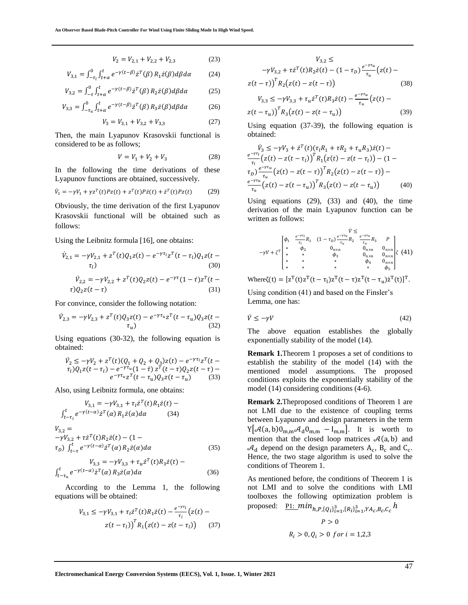$$
V_2 = V_{2,1} + V_{2,2} + V_{2,3} \tag{23}
$$

$$
V_{3,1} = \int_{-\tau_l}^{0} \int_{t+\alpha}^{t} e^{-\gamma(t-\beta)} \dot{z}^T(\beta) R_1 \dot{z}(\beta) d\beta d\alpha \tag{24}
$$

$$
V_{3,2} = \int_{-\tau}^{0} \int_{t+\alpha}^{t} e^{-\gamma(t-\beta)} \dot{z}^{T}(\beta) R_{2} \dot{z}(\beta) d\beta d\alpha \qquad (25)
$$

$$
V_{3,3} = \int_{-\tau_u}^0 \int_{t+\alpha}^t e^{-\gamma(t-\beta)} \dot{z}^T(\beta) R_3 \dot{z}(\beta) d\beta d\alpha \tag{26}
$$

$$
V_3 = V_{3,1} + V_{3,2} + V_{3,3} \tag{27}
$$

Then, the main Lyapunov Krasovskii functional is considered to be as follows;

$$
V = V_1 + V_2 + V_3 \tag{28}
$$

In the following the time derivations of these Lyapunov functions are obtained, successively.

$$
\dot{V}_1 = -\gamma V_1 + \gamma z^T(t) P z(t) + z^T(t) P \dot{z}(t) + \dot{z}^T(t) P z(t) \tag{29}
$$

Obviously, the time derivation of the first Lyapunov Krasovskii functional will be obtained such as follows:

Using the Leibnitz formula [16], one obtains:

$$
\dot{V}_{2,1} = -\gamma V_{2,1} + z^T(t)Q_1 z(t) - e^{-\gamma \tau_l} z^T(t - \tau_l)Q_1 z(t - \tau_l)
$$
\n(30)

$$
\dot{V}_{2,2} = -\gamma V_{2,2} + z^{T}(t)Q_{2}z(t) - e^{-\gamma \tau}(1 - \dot{\tau})z^{T}(t - \tau)Q_{2}z(t - \tau)
$$
\n(31)

For convince, consider the following notation:

$$
\dot{V}_{2,3} = -\gamma V_{2,3} + z^T(t)Q_3 z(t) - e^{-\gamma \tau_u} z^T(t - \tau_u)Q_3 z(t - \tau_u)
$$
\n(32)

Using equations (30-32), the following equation is obtained:

$$
\dot{V}_2 \le -\gamma V_2 + z^T(t)(Q_1 + Q_2 + Q_3)z(t) - e^{-\gamma \tau_1}z^T(t - \tau_1)
$$
\n
$$
\tau_1)Q_1z(t - \tau_1) - e^{-\gamma \tau_u}(1 - \tau) z^T(t - \tau)Q_2z(t - \tau) - e^{-\gamma \tau_u}z^T(t - \tau_u)Q_3z(t - \tau_u) \tag{33}
$$

Also, using Leibnitz formula, one obtains:

$$
V_{3,1} = -\gamma V_{3,1} + \tau_l \dot{z}^T(t) R_1 \dot{z}(t) -
$$
  
\n
$$
\int_{t-\tau_l}^t e^{-\gamma(t-\alpha)} \dot{z}^T(\alpha) R_1 \dot{z}(\alpha) d\alpha
$$
 (34)  
\n
$$
V_{3,2} =
$$
  
\n
$$
-\gamma V_{3,2} + \tau \dot{z}^T(t) R_2 \dot{z}(t) - (1 -
$$
  
\n
$$
\tau_D) \int_{t-\tau}^t e^{-\gamma(t-\alpha)} \dot{z}^T(\alpha) R_2 \dot{z}(\alpha) d\alpha
$$
 (35)

$$
V_{3,3} = -\gamma V_{3,3} + \tau_u \dot{z}^T(t) R_3 \dot{z}(t) -
$$
  

$$
\int_{t-\tau_u}^t e^{-\gamma(t-\alpha)} \dot{z}^T(\alpha) R_3 \dot{z}(\alpha) d\alpha
$$
 (36)

According to the Lemma 1, the following equations will be obtained:

$$
V_{3,1} \le -\gamma V_{3,1} + \tau_l \dot{z}^T(t) R_1 \dot{z}(t) - \frac{e^{-\gamma \tau_l}}{\tau_l} \left( z(t) - z(t - \tau_l) \right)^T R_1 \left( z(t) - z(t - \tau_l) \right) \tag{37}
$$

$$
V_{3,2} \le
$$
  
\n
$$
-\gamma V_{3,2} + \tau \dot{z}^{T}(t) R_{2} \dot{z}(t) - (1 - \tau_{D}) \frac{e^{-\gamma \tau_{u}}}{\tau_{u}} (z(t) - z(t - \tau))
$$
  
\n
$$
Z(t - \tau) \bigg)^{T} R_{2} (z(t) - z(t - \tau)) \qquad (38)
$$
  
\n
$$
V_{3,3} \le -\gamma V_{3,3} + \tau_{u} \dot{z}^{T}(t) R_{3} \dot{z}(t) - \frac{e^{-\gamma \tau_{u}}}{\tau_{u}} (z(t) - \tau) \bigg)^{T}
$$

$$
z(t - \tau_u)\big)^T R_3(z(t) - z(t - \tau_u))
$$
\n(39)

Using equation (37-39), the following equation is obtained:

$$
\dot{V}_3 \leq -\gamma V_3 + \dot{z}^T(t) (\tau_l R_1 + \tau R_2 + \tau_u R_3) \dot{z}(t) -
$$
\n
$$
\frac{e^{-\gamma \tau_l}}{\tau_l} (z(t) - z(t - \tau_l))^T R_1 (z(t) - z(t - \tau_l)) - (1 -
$$
\n
$$
\tau_b) \frac{e^{-\gamma \tau_u}}{\tau_u} (z(t) - z(t - \tau_l))^T R_2 (z(t) - z(t - \tau_l)) -
$$
\n
$$
\frac{e^{-\gamma \tau_u}}{\tau_u} (z(t) - z(t - \tau_u))^T R_3 (z(t) - z(t - \tau_u)) \tag{40}
$$

Using equations (29), (33) and (40), the time derivation of the main Lyapunov function can be written as follows:

$$
-\gamma V + \zeta^T \begin{bmatrix} \phi_1 & \frac{e^{-\gamma \tau_l}}{\tau_l} R_1 & (1 - \tau_D) \frac{e^{-\gamma \tau_{u_l}}}{\tau_u} R_2 & \frac{e^{-\gamma \tau_{u_l}}}{\tau_u} R_3 & P \\ * & \phi_2 & 0_{n \times n} & 0_{n \times n} & 0_{n \times n} \\ * & * & \phi_3 & 0_{n \times n} & 0_{n \times n} \\ * & * & * & \phi_4 & 0_{n \times n} \\ * & * & * & * & \phi_5 \end{bmatrix} \zeta (41)
$$

Where $\zeta(t) = [z^T(t)z^T(t-\tau_1)z^T(t-\tau)z^T(t-\tau_u)z^T(t)]^T$ .

Using condition (41) and based on the Finsler's Lemma, one has:

$$
\dot{V} \le -\gamma V \tag{42}
$$

The above equation establishes the globally exponentially stability of the model (14).

**Remark 1.**Theorem 1 proposes a set of conditions to establish the stability of the model (14) with the mentioned model assumptions. The proposed conditions exploits the exponentially stability of the model (14) considering conditions (4-6).

**Remark 2.**Theproposed conditions of Theorem 1 are not LMI due to the existence of coupling terms between Lyapunov and design parameters in the term  $Y[\mathcal{A}(a, b)0_{m,m}\mathcal{A}_d 0_{m,m} - I_{m,m}]$ . It is worth to mention that the closed loop matrices  $\mathcal{A}(a, b)$  and  $\mathcal{A}_{d}$  depend on the design parameters  $A_{c}$ ,  $B_{c}$  and  $C_{c}$ . Hence, the two stage algorithm is used to solve the conditions of Theorem 1.

As mentioned before, the conditions of Theorem 1 is not LMI and to solve the conditions with LMI toolboxes the following optimization problem is proposed:  $\underline{\text{PI:}}\ min_{h,P,\{Q_i\}_{i=1}^3, \{R_i\}_{i=1}^3, YA_c,B_c,C_c} h$ 

$$
P > 0
$$
  

$$
R_i > 0, Q_i > 0 \text{ for } i = 1, 2, 3
$$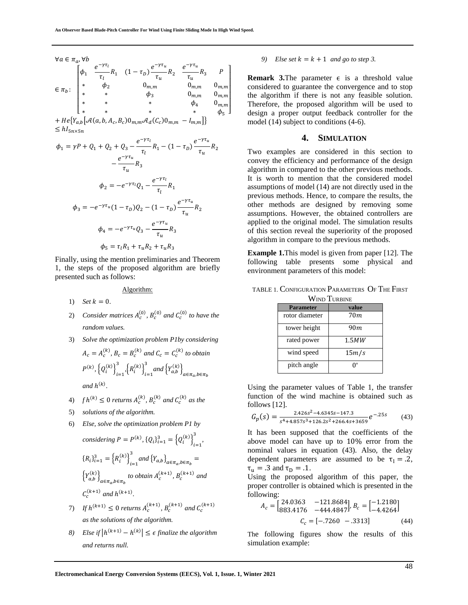$$
\forall a \in \pi_a, \forall b
$$
\n
$$
\in \pi_b: \begin{bmatrix}\n\phi_1 & \frac{e^{-\gamma \tau_l}}{\tau_l} R_1 & (1 - \tau_D) \frac{e^{-\gamma \tau_u}}{\tau_u} R_2 & \frac{e^{-\gamma \tau_u}}{\tau_u} R_3 & P \\
* & \phi_2 & 0_{m,m} & 0_{m,m} & 0_{m,m} \\
* & * & \phi_3 & 0_{m,m} & 0_{m,m} \\
* & * & * & * & \phi_4 & 0_{m,m} \\
* & * & * & * & * & \phi_5\n\end{bmatrix}
$$
\n
$$
\begin{aligned}\n+ He\{Y_{a,b}\}[\mathcal{A}(a, b, A_c, B_c)0_{m,m} \mathcal{A}_d(C_c)0_{m,m} - I_{m,m}]\} \\
\leq hI_{5n \times 5n} \\
\phi_1 & = \gamma P + Q_1 + Q_2 + Q_3 - \frac{e^{-\gamma \tau_l}}{\tau_l} R_1 - (1 - \tau_D) \frac{e^{-\gamma \tau_u}}{\tau_u} R_2 \\
&- \frac{e^{-\gamma \tau_u}}{\tau_u} R_3 \\
\phi_2 & = -e^{-\gamma \tau_l} Q_1 - \frac{e^{-\gamma \tau_l}}{\tau_l} R_1 \\
\phi_3 & = -e^{-\gamma \tau_u} (1 - \tau_D) Q_2 - (1 - \tau_D) \frac{e^{-\gamma \tau_u}}{\tau_u} R_2\n\end{aligned}
$$

$$
\begin{aligned} \n\iota_u &= -e^{-\gamma \tau_u} Q_3 - \frac{e^{-\gamma \tau_u}}{\tau_u} R_3 \\ \n\phi_5 &= \tau_l R_1 + \tau_u R_2 + \tau_u R_3 \n\end{aligned}
$$

Finally, using the mention preliminaries and Theorem 1, the steps of the proposed algorithm are briefly presented such as follows:

Algorithm:

- 1) *Set*  $k = 0$ .
- 2) *Consider matrices*  $A_c^{(0)}$ ,  $B_c^{(0)}$  and  $C_c^{(0)}$  to have the *random values.*
- 3) *Solve the optimization problem P1by considering*

$$
A_c = A_c^{(k)}, B_c = B_c^{(k)} \text{ and } C_c = C_c^{(k)} \text{ to obtain}
$$
  

$$
P^{(k)}, \{Q_i^{(k)}\}_{i=1}^3, \{R_i^{(k)}\}_{i=1}^3 \text{ and } \{Y_{a,b}^{(k)}\}_{a \in \pi_a, b \in \pi_b}
$$
  
and  $h^{(k)}$ .

- 4)  $f h^{(k)} \le 0$  returns  $A_c^{(k)}$ ,  $B_c^{(k)}$  and  $C_c^{(k)}$  as the
- 5) *solutions of the algorithm.*
- 6) *Else, solve the optimization problem P1 by considering*  $P = P^{(k)}$ ,  ${Q_i}_{i=1}^3 = \left{Q_i^{(k)}\right}_{i=1}^3$ 3 *,*   ${R_i}_{i=1}^3 = {R_i^{(k)}}_{i=1}^3$  $\int_{i=1}^{3}$  and  $\left\{Y_{a,b}\right\}_{a \in \pi_a, b \in \pi_b}$  =  $\left\{Y_{a,b}^{(k)}\right\}_{a \in \pi_a, b \in \pi_b}$  to obtain  $A_c^{(k+1)}$ ,  $B_c^{(k+1)}$  and  $C_c^{(k+1)}$  and  $h^{(k+1)}$ .
- 7) If  $h^{(k+1)} \le 0$  returns  $A_c^{(k+1)}$ ,  $B_c^{(k+1)}$  and  $C_c^{(k+1)}$ *as the solutions of the algorithm.*
- *8*) Else if  $|h^{(k+1)} h^{(k)}| \leq \epsilon$  finalize the algorithm *and returns null.*

#### *9)* Else set  $k = k + 1$  and go to step 3.

**Remark 3.**The parameter  $\epsilon$  is a threshold value considered to guarantee the convergence and to stop the algorithm if there is not any feasible solution. Therefore, the proposed algorithm will be used to design a proper output feedback controller for the model (14) subject to conditions (4-6).

## **4. SIMULATION**

Two examples are considered in this section to convey the efficiency and performance of the design algorithm in compared to the other previous methods. It is worth to mention that the considered model assumptions of model (14) are not directly used in the previous methods. Hence, to compare the results, the other methods are designed by removing some assumptions. However, the obtained controllers are applied to the original model. The simulation results of this section reveal the superiority of the proposed algorithm in compare to the previous methods.

**Example 1.**This model is given from paper [12]. The following table presents some physical and environment parameters of this model:

|             | TABLE 1. CONFIGURATION $\rm{P}$ arameters $\rm{O}$ f The First |  |  |  |
|-------------|----------------------------------------------------------------|--|--|--|
| Warn Tuppar |                                                                |  |  |  |

| VV IND-LUKDINE   |       |  |
|------------------|-------|--|
| <b>Parameter</b> | value |  |
| rotor diameter   | 70m   |  |
| tower height     | 90m   |  |
| rated power      | 1.5MW |  |
| wind speed       | 15m/s |  |
| pitch angle      |       |  |

Using the parameter values of Table 1, the transfer function of the wind machine is obtained such as follows [12].

$$
G_p(s) = \frac{2.426s^2 - 4.6345s - 147.3}{s^4 + 4.857s^3 + 126.2s^2 + 266.4s + 3659}e^{-.25s}
$$
 (43)

It has been supposed that the coefficients of the above model can have up to 10% error from the nominal values in equation (43). Also, the delay dependent parameters are assumed to be  $\tau_1 = .2$ ,  $\tau_u = .3$  and  $\tau_D = .1$ .

Using the proposed algorithm of this paper, the proper controller is obtained which is presented in the following:

$$
A_c = \begin{bmatrix} 24.0363 & -121.8684 \\ 883.4176 & -444.4847 \end{bmatrix}, B_c = \begin{bmatrix} -1.2180 \\ -4.4264 \end{bmatrix}
$$
\n
$$
C_c = \begin{bmatrix} -7260 & -3313 \end{bmatrix} \tag{44}
$$

The following figures show the results of this simulation example: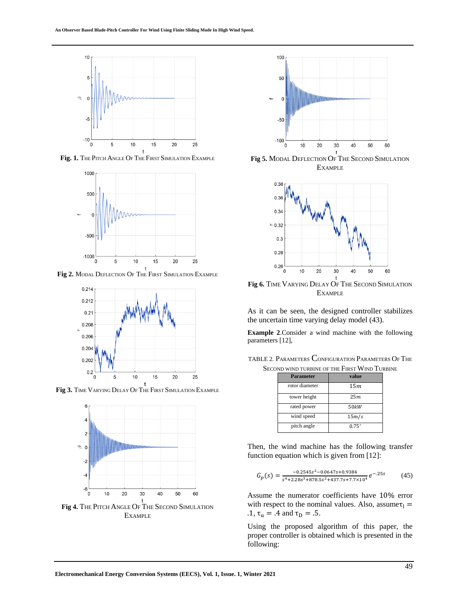

**Fig. 1.** THE PITCH ANGLE OF THE FIRST SIMULATION EXAMPLE



**Fig 2.** MODAL DEFLECTION OF THE FIRST SIMULATION EXAMPLE



**Fig 3.** TIME VARYING DELAY OF THE FIRST SIMULATION EXAMPLE



**Fig 4.** THE PITCH ANGLE OF THE SECOND SIMULATION EXAMPLE



**EXAMPLE** 



**Fig 6.** TIME VARYING DELAY OF THE SECOND SIMULATION EXAMPLE

As it can be seen, the designed controller stabilizes the uncertain time varying delay model (43).

**Example 2**.Consider a wind machine with the following parameters [12],

TABLE 2. PARAMETERS CONFIGURATION PARAMETERS OF THE SECOND WIND TURBINE OF THE FIRST WIND TURBINE

| Parameter      | value          |  |
|----------------|----------------|--|
| rotor diameter | 15m            |  |
| tower height   | 25m            |  |
| rated power    | 50kW           |  |
| wind speed     | 15m/s          |  |
| pitch angle    | $0.75^{\circ}$ |  |

Then, the wind machine has the following transfer function equation which is given from [12]:

$$
G_p(s) = \frac{-0.2545s^2 - 0.0647s + 0.9384}{s^4 + 2.28s^3 + 878.5s^2 + 437.7s + 7.7 \times 10^4} e^{-0.25s}
$$
 (45)

Assume the numerator coefficients have 10% error with respect to the nominal values. Also, assume  $\tau_1$  = .1,  $\tau_u = .4$  and  $\tau_D = .5$ .

Using the proposed algorithm of this paper, the proper controller is obtained which is presented in the following: